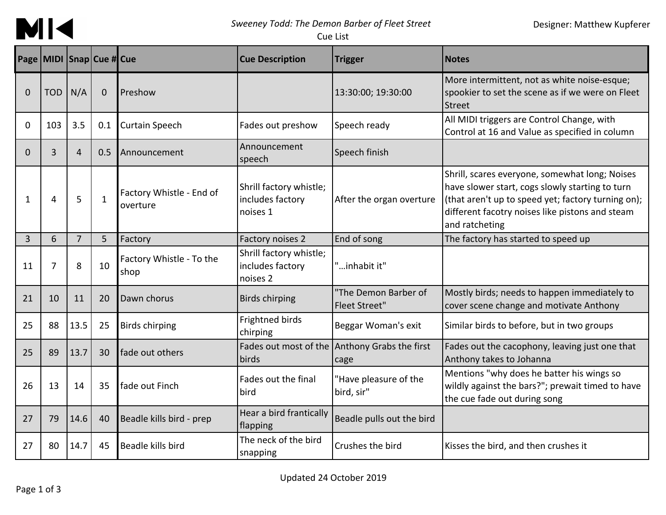

*Sweeney Todd: The Demon Barber of Fleet Street*

Designer: Matthew Kupferer

Cue List

|                | Page MIDI Snap Cue # Cue |                |              |                                      | <b>Cue Description</b>                                  | <b>Trigger</b>                               | <b>Notes</b>                                                                                                                                                                                                                 |
|----------------|--------------------------|----------------|--------------|--------------------------------------|---------------------------------------------------------|----------------------------------------------|------------------------------------------------------------------------------------------------------------------------------------------------------------------------------------------------------------------------------|
| 0              | <b>TOD</b>               | N/A            | $\mathbf{0}$ | Preshow                              |                                                         | 13:30:00; 19:30:00                           | More intermittent, not as white noise-esque;<br>spookier to set the scene as if we were on Fleet<br><b>Street</b>                                                                                                            |
| $\Omega$       | 103                      | 3.5            | 0.1          | <b>Curtain Speech</b>                | Fades out preshow                                       | Speech ready                                 | All MIDI triggers are Control Change, with<br>Control at 16 and Value as specified in column                                                                                                                                 |
| 0              | 3                        | $\overline{4}$ | 0.5          | Announcement                         | Announcement<br>speech                                  | Speech finish                                |                                                                                                                                                                                                                              |
| 1              | 4                        | 5              | $\mathbf{1}$ | Factory Whistle - End of<br>overture | Shrill factory whistle;<br>includes factory<br>noises 1 | After the organ overture                     | Shrill, scares everyone, somewhat long; Noises<br>have slower start, cogs slowly starting to turn<br>(that aren't up to speed yet; factory turning on);<br>different facotry noises like pistons and steam<br>and ratcheting |
| $\overline{3}$ | 6                        | $\overline{7}$ | 5            | Factory                              | Factory noises 2                                        | End of song                                  | The factory has started to speed up                                                                                                                                                                                          |
| 11             | 7                        | 8              | 10           | Factory Whistle - To the<br>shop     | Shrill factory whistle;<br>includes factory<br>noises 2 | "inhabit it"                                 |                                                                                                                                                                                                                              |
| 21             | 10                       | 11             | 20           | Dawn chorus                          | <b>Birds chirping</b>                                   | "The Demon Barber of<br><b>Fleet Street"</b> | Mostly birds; needs to happen immediately to<br>cover scene change and motivate Anthony                                                                                                                                      |
| 25             | 88                       | 13.5           | 25           | <b>Birds chirping</b>                | Frightned birds<br>chirping                             | Beggar Woman's exit                          | Similar birds to before, but in two groups                                                                                                                                                                                   |
| 25             | 89                       | 13.7           | 30           | fade out others                      | Fades out most of the<br>birds                          | Anthony Grabs the first<br>cage              | Fades out the cacophony, leaving just one that<br>Anthony takes to Johanna                                                                                                                                                   |
| 26             | 13                       | 14             | 35           | fade out Finch                       | Fades out the final<br>bird                             | "Have pleasure of the<br>bird, sir"          | Mentions "why does he batter his wings so<br>wildly against the bars?"; prewait timed to have<br>the cue fade out during song                                                                                                |
| 27             | 79                       | 14.6           | 40           | Beadle kills bird - prep             | Hear a bird frantically<br>flapping                     | Beadle pulls out the bird                    |                                                                                                                                                                                                                              |
| 27             | 80                       | 14.7           | 45           | Beadle kills bird                    | The neck of the bird<br>snapping                        | Crushes the bird                             | Kisses the bird, and then crushes it                                                                                                                                                                                         |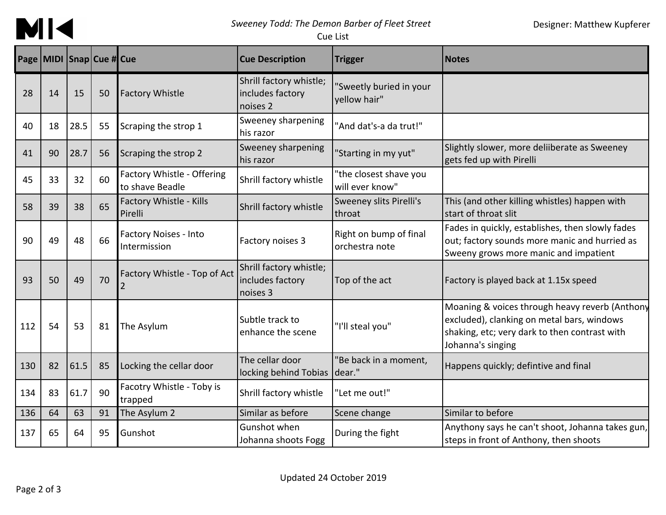

## *Sweeney Todd: The Demon Barber of Fleet Street*

Cue List

|     | Page MIDI Snap Cue # Cue |      |    |                                               | <b>Cue Description</b>                                  | <b>Trigger</b>                            | <b>Notes</b>                                                                                                                                                       |
|-----|--------------------------|------|----|-----------------------------------------------|---------------------------------------------------------|-------------------------------------------|--------------------------------------------------------------------------------------------------------------------------------------------------------------------|
| 28  | 14                       | 15   | 50 | <b>Factory Whistle</b>                        | Shrill factory whistle;<br>includes factory<br>noises 2 | 'Sweetly buried in your<br>yellow hair"   |                                                                                                                                                                    |
| 40  | 18                       | 28.5 | 55 | Scraping the strop 1                          | Sweeney sharpening<br>his razor                         | "And dat's-a da trut!"                    |                                                                                                                                                                    |
| 41  | 90                       | 28.7 | 56 | Scraping the strop 2                          | Sweeney sharpening<br>his razor                         | 'Starting in my yut"                      | Slightly slower, more deliiberate as Sweeney<br>gets fed up with Pirelli                                                                                           |
| 45  | 33                       | 32   | 60 | Factory Whistle - Offering<br>to shave Beadle | Shrill factory whistle                                  | "the closest shave you<br>will ever know" |                                                                                                                                                                    |
| 58  | 39                       | 38   | 65 | Factory Whistle - Kills<br>Pirelli            | Shrill factory whistle                                  | Sweeney slits Pirelli's<br>throat         | This (and other killing whistles) happen with<br>start of throat slit                                                                                              |
| 90  | 49                       | 48   | 66 | <b>Factory Noises - Into</b><br>Intermission  | Factory noises 3                                        | Right on bump of final<br>orchestra note  | Fades in quickly, establishes, then slowly fades<br>out; factory sounds more manic and hurried as<br>Sweeny grows more manic and impatient                         |
| 93  | 50                       | 49   | 70 | Factory Whistle - Top of Act                  | Shrill factory whistle;<br>includes factory<br>noises 3 | Top of the act                            | Factory is played back at 1.15x speed                                                                                                                              |
| 112 | 54                       | 53   | 81 | The Asylum                                    | Subtle track to<br>enhance the scene                    | "I'll steal you"                          | Moaning & voices through heavy reverb (Anthony<br>excluded), clanking on metal bars, windows<br>shaking, etc; very dark to then contrast with<br>Johanna's singing |
| 130 | 82                       | 61.5 | 85 | Locking the cellar door                       | The cellar door<br>locking behind Tobias dear."         | "Be back in a moment,                     | Happens quickly; defintive and final                                                                                                                               |
| 134 | 83                       | 61.7 | 90 | Facotry Whistle - Toby is<br>trapped          | Shrill factory whistle                                  | "Let me out!"                             |                                                                                                                                                                    |
| 136 | 64                       | 63   | 91 | The Asylum 2                                  | Similar as before                                       | Scene change                              | Similar to before                                                                                                                                                  |
| 137 | 65                       | 64   | 95 | Gunshot                                       | Gunshot when<br>Johanna shoots Fogg                     | During the fight                          | Anythony says he can't shoot, Johanna takes gun,<br>steps in front of Anthony, then shoots                                                                         |